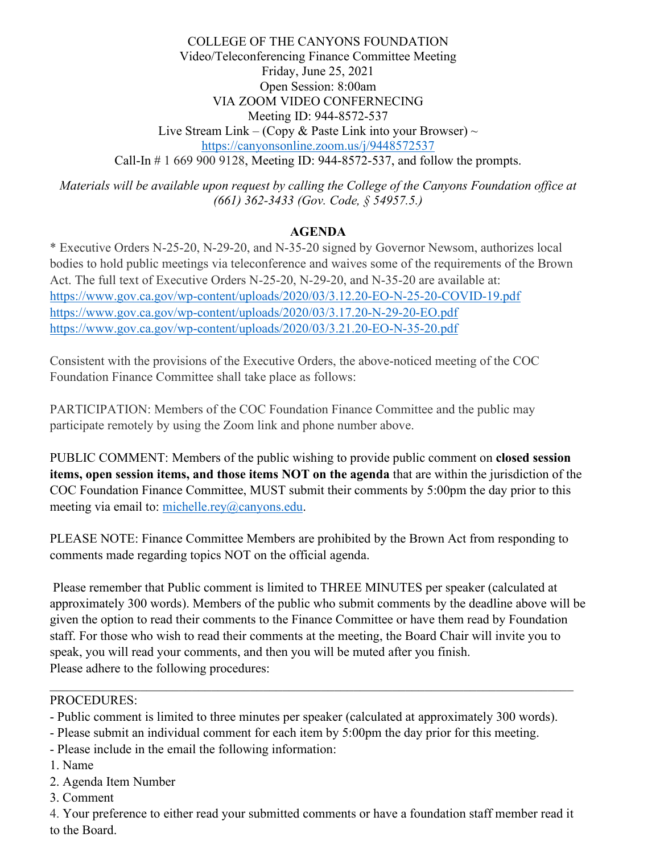COLLEGE OF THE CANYONS FOUNDATION Video/Teleconferencing Finance Committee Meeting Friday, June 25, 2021 Open Session: 8:00am VIA ZOOM VIDEO CONFERNECING Meeting ID: 944-8572-537 Live Stream Link – (Copy & Paste Link into your Browser)  $\sim$ <https://canyonsonline.zoom.us/j/9448572537> Call-In # 1 669 900 9128, Meeting ID: 944-8572-537, and follow the prompts.

*Materials will be available upon request by calling the College of the Canyons Foundation office at (661) 362-3433 (Gov. Code, § 54957.5.)*

## **AGENDA**

\* Executive Orders N-25-20, N-29-20, and N-35-20 signed by Governor Newsom, authorizes local bodies to hold public meetings via teleconference and waives some of the requirements of the Brown Act. The full text of Executive Orders N-25-20, N-29-20, and N-35-20 are available at: <https://www.gov.ca.gov/wp-content/uploads/2020/03/3.12.20-EO-N-25-20-COVID-19.pdf> <https://www.gov.ca.gov/wp-content/uploads/2020/03/3.17.20-N-29-20-EO.pdf> <https://www.gov.ca.gov/wp-content/uploads/2020/03/3.21.20-EO-N-35-20.pdf>

Consistent with the provisions of the Executive Orders, the above-noticed meeting of the COC Foundation Finance Committee shall take place as follows:

PARTICIPATION: Members of the COC Foundation Finance Committee and the public may participate remotely by using the Zoom link and phone number above.

PUBLIC COMMENT: Members of the public wishing to provide public comment on **closed session items, open session items, and those items NOT on the agenda** that are within the jurisdiction of the COC Foundation Finance Committee, MUST submit their comments by 5:00pm the day prior to this meeting via email to: [michelle.rey@canyons.edu.](mailto:michelle.rey@canyons.edu)

PLEASE NOTE: Finance Committee Members are prohibited by the Brown Act from responding to comments made regarding topics NOT on the official agenda.

Please remember that Public comment is limited to THREE MINUTES per speaker (calculated at approximately 300 words). Members of the public who submit comments by the deadline above will be given the option to read their comments to the Finance Committee or have them read by Foundation staff. For those who wish to read their comments at the meeting, the Board Chair will invite you to speak, you will read your comments, and then you will be muted after you finish. Please adhere to the following procedures:

#### PROCEDURES:

- Public comment is limited to three minutes per speaker (calculated at approximately 300 words).

- Please submit an individual comment for each item by 5:00pm the day prior for this meeting.
- Please include in the email the following information:
- 1. Name
- 2. Agenda Item Number
- 3. Comment

4. Your preference to either read your submitted comments or have a foundation staff member read it to the Board.